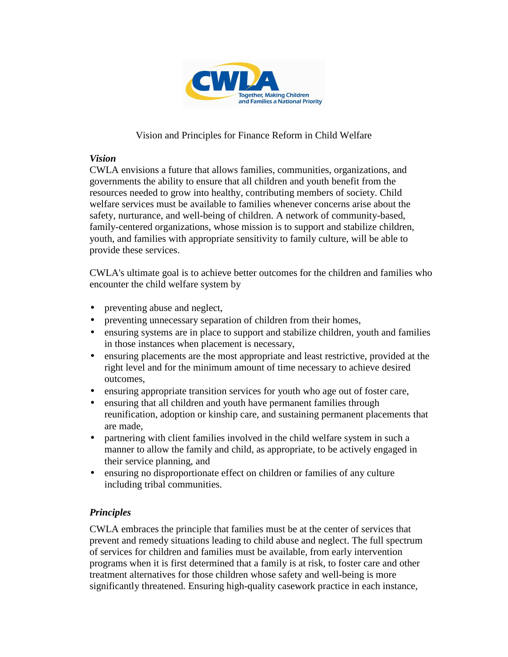

## Vision and Principles for Finance Reform in Child Welfare

## *Vision*

CWLA envisions a future that allows families, communities, organizations, and governments the ability to ensure that all children and youth benefit from the resources needed to grow into healthy, contributing members of society. Child welfare services must be available to families whenever concerns arise about the safety, nurturance, and well-being of children. A network of community-based, family-centered organizations, whose mission is to support and stabilize children, youth, and families with appropriate sensitivity to family culture, will be able to provide these services.

CWLA's ultimate goal is to achieve better outcomes for the children and families who encounter the child welfare system by

- preventing abuse and neglect,
- preventing unnecessary separation of children from their homes,
- ensuring systems are in place to support and stabilize children, youth and families in those instances when placement is necessary,
- ensuring placements are the most appropriate and least restrictive, provided at the right level and for the minimum amount of time necessary to achieve desired outcomes,
- ensuring appropriate transition services for youth who age out of foster care,
- ensuring that all children and youth have permanent families through reunification, adoption or kinship care, and sustaining permanent placements that are made,
- partnering with client families involved in the child welfare system in such a manner to allow the family and child, as appropriate, to be actively engaged in their service planning, and
- ensuring no disproportionate effect on children or families of any culture including tribal communities.

## *Principles*

CWLA embraces the principle that families must be at the center of services that prevent and remedy situations leading to child abuse and neglect. The full spectrum of services for children and families must be available, from early intervention programs when it is first determined that a family is at risk, to foster care and other treatment alternatives for those children whose safety and well-being is more significantly threatened. Ensuring high-quality casework practice in each instance,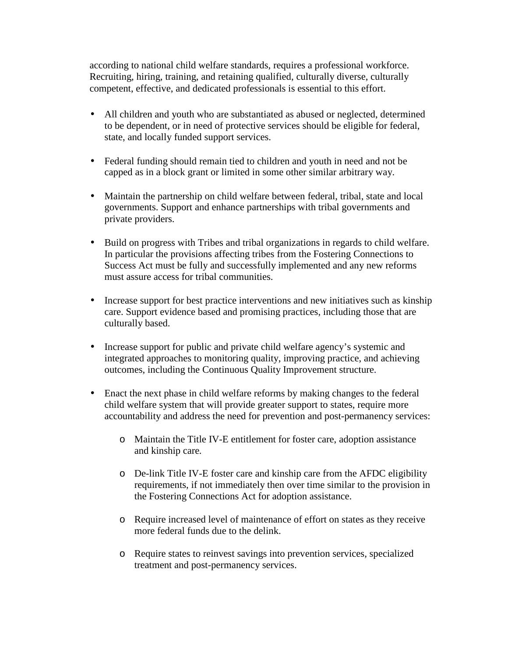according to national child welfare standards, requires a professional workforce. Recruiting, hiring, training, and retaining qualified, culturally diverse, culturally competent, effective, and dedicated professionals is essential to this effort.

- All children and youth who are substantiated as abused or neglected, determined to be dependent, or in need of protective services should be eligible for federal, state, and locally funded support services.
- Federal funding should remain tied to children and youth in need and not be capped as in a block grant or limited in some other similar arbitrary way.
- Maintain the partnership on child welfare between federal, tribal, state and local governments. Support and enhance partnerships with tribal governments and private providers.
- Build on progress with Tribes and tribal organizations in regards to child welfare. In particular the provisions affecting tribes from the Fostering Connections to Success Act must be fully and successfully implemented and any new reforms must assure access for tribal communities.
- Increase support for best practice interventions and new initiatives such as kinship care. Support evidence based and promising practices, including those that are culturally based.
- Increase support for public and private child welfare agency's systemic and integrated approaches to monitoring quality, improving practice, and achieving outcomes, including the Continuous Quality Improvement structure.
- Enact the next phase in child welfare reforms by making changes to the federal child welfare system that will provide greater support to states, require more accountability and address the need for prevention and post-permanency services:
	- o Maintain the Title IV-E entitlement for foster care, adoption assistance and kinship care*.*
	- o De-link Title IV-E foster care and kinship care from the AFDC eligibility requirements, if not immediately then over time similar to the provision in the Fostering Connections Act for adoption assistance.
	- o Require increased level of maintenance of effort on states as they receive more federal funds due to the delink.
	- o Require states to reinvest savings into prevention services, specialized treatment and post-permanency services.